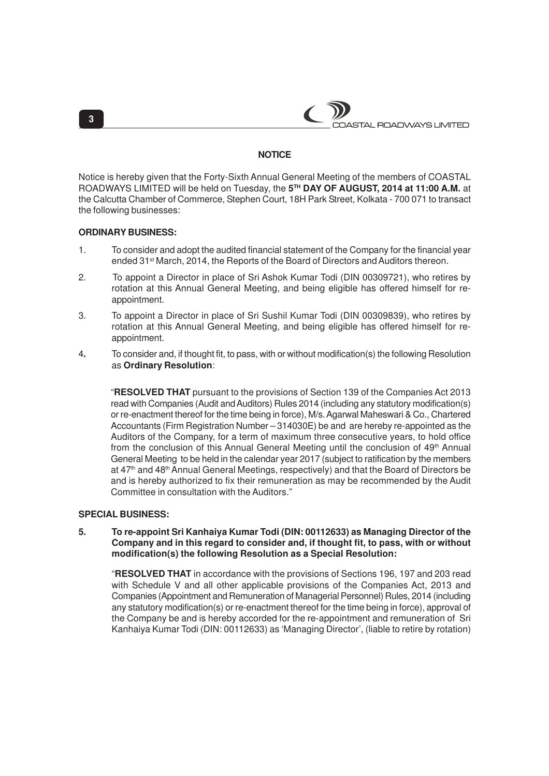

## **NOTICE**

Notice is hereby given that the Forty-Sixth Annual General Meeting of the members of COASTAL ROADWAYS LIMITED will be held on Tuesday, the **5 TH DAY OF AUGUST, 2014 at 11:00 A.M.** at the Calcutta Chamber of Commerce, Stephen Court, 18H Park Street, Kolkata - 700 071 to transact the following businesses:

### **ORDINARY BUSINESS:**

- 1. To consider and adopt the audited financial statement of the Company for the financial year ended 31<sup>st</sup> March, 2014, the Reports of the Board of Directors and Auditors thereon.
- 2. To appoint a Director in place of Sri Ashok Kumar Todi (DIN 00309721), who retires by rotation at this Annual General Meeting, and being eligible has offered himself for reappointment.
- 3. To appoint a Director in place of Sri Sushil Kumar Todi (DIN 00309839), who retires by rotation at this Annual General Meeting, and being eligible has offered himself for reappointment.
- 4**.** To consider and, if thought fit, to pass, with or without modification(s) the following Resolution as **Ordinary Resolution**:

"**RESOLVED THAT** pursuant to the provisions of Section 139 of the Companies Act 2013 read with Companies (Audit and Auditors) Rules 2014 (including any statutory modification(s) or re-enactment thereof for the time being in force), M/s. Agarwal Maheswari & Co., Chartered Accountants (Firm Registration Number – 314030E) be and are hereby re-appointed as the Auditors of the Company, for a term of maximum three consecutive years, to hold office from the conclusion of this Annual General Meeting until the conclusion of 49<sup>th</sup> Annual General Meeting to be held in the calendar year 2017 (subject to ratification by the members at 47<sup>th</sup> and 48<sup>th</sup> Annual General Meetings, respectively) and that the Board of Directors be and is hereby authorized to fix their remuneration as may be recommended by the Audit Committee in consultation with the Auditors."

# **SPECIAL BUSINESS:**

### **5. To re-appoint Sri Kanhaiya Kumar Todi (DIN: 00112633) as Managing Director of the Company and in this regard to consider and, if thought fit, to pass, with or without modification(s) the following Resolution as a Special Resolution:**

"**RESOLVED THAT** in accordance with the provisions of Sections 196, 197 and 203 read with Schedule V and all other applicable provisions of the Companies Act, 2013 and Companies (Appointment and Remuneration of Managerial Personnel) Rules, 2014 (including any statutory modification(s) or re-enactment thereof for the time being in force), approval of the Company be and is hereby accorded for the re-appointment and remuneration of Sri Kanhaiya Kumar Todi (DIN: 00112633) as 'Managing Director', (liable to retire by rotation)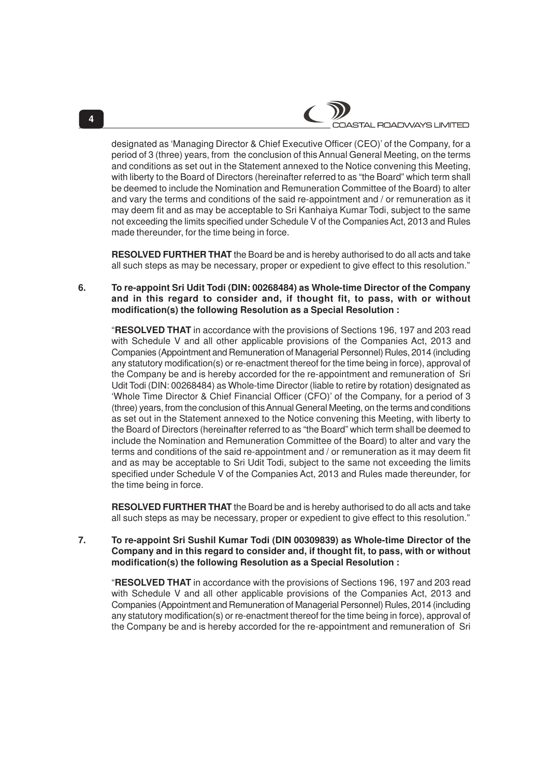designated as 'Managing Director & Chief Executive Officer (CEO)' of the Company, for a period of 3 (three) years, from the conclusion of this Annual General Meeting, on the terms and conditions as set out in the Statement annexed to the Notice convening this Meeting, with liberty to the Board of Directors (hereinafter referred to as "the Board" which term shall be deemed to include the Nomination and Remuneration Committee of the Board) to alter and vary the terms and conditions of the said re-appointment and / or remuneration as it may deem fit and as may be acceptable to Sri Kanhaiya Kumar Todi, subject to the same not exceeding the limits specified under Schedule V of the Companies Act, 2013 and Rules made thereunder, for the time being in force.

**RESOLVED FURTHER THAT** the Board be and is hereby authorised to do all acts and take all such steps as may be necessary, proper or expedient to give effect to this resolution."

**6. To re-appoint Sri Udit Todi (DIN: 00268484) as Whole-time Director of the Company and in this regard to consider and, if thought fit, to pass, with or without modification(s) the following Resolution as a Special Resolution :**

"**RESOLVED THAT** in accordance with the provisions of Sections 196, 197 and 203 read with Schedule V and all other applicable provisions of the Companies Act, 2013 and Companies (Appointment and Remuneration of Managerial Personnel) Rules, 2014 (including any statutory modification(s) or re-enactment thereof for the time being in force), approval of the Company be and is hereby accorded for the re-appointment and remuneration of Sri Udit Todi (DIN: 00268484) as Whole-time Director (liable to retire by rotation) designated as 'Whole Time Director & Chief Financial Officer (CFO)' of the Company, for a period of 3 (three) years, from the conclusion of this Annual General Meeting, on the terms and conditions as set out in the Statement annexed to the Notice convening this Meeting, with liberty to the Board of Directors (hereinafter referred to as "the Board" which term shall be deemed to include the Nomination and Remuneration Committee of the Board) to alter and vary the terms and conditions of the said re-appointment and / or remuneration as it may deem fit and as may be acceptable to Sri Udit Todi, subject to the same not exceeding the limits specified under Schedule V of the Companies Act, 2013 and Rules made thereunder, for the time being in force.

**RESOLVED FURTHER THAT** the Board be and is hereby authorised to do all acts and take all such steps as may be necessary, proper or expedient to give effect to this resolution."

### **7. To re-appoint Sri Sushil Kumar Todi (DIN 00309839) as Whole-time Director of the Company and in this regard to consider and, if thought fit, to pass, with or without modification(s) the following Resolution as a Special Resolution :**

"**RESOLVED THAT** in accordance with the provisions of Sections 196, 197 and 203 read with Schedule V and all other applicable provisions of the Companies Act, 2013 and Companies (Appointment and Remuneration of Managerial Personnel) Rules, 2014 (including any statutory modification(s) or re-enactment thereof for the time being in force), approval of the Company be and is hereby accorded for the re-appointment and remuneration of Sri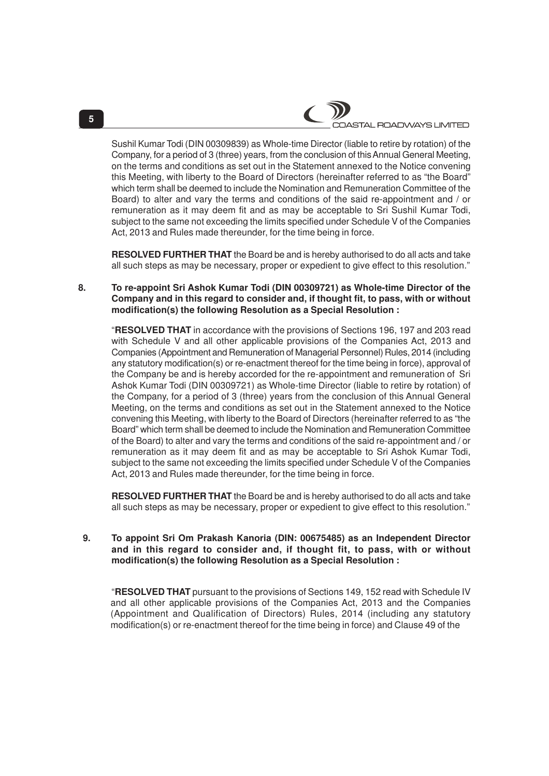Sushil Kumar Todi (DIN 00309839) as Whole-time Director (liable to retire by rotation) of the Company, for a period of 3 (three) years, from the conclusion of this Annual General Meeting, on the terms and conditions as set out in the Statement annexed to the Notice convening this Meeting, with liberty to the Board of Directors (hereinafter referred to as "the Board" which term shall be deemed to include the Nomination and Remuneration Committee of the Board) to alter and vary the terms and conditions of the said re-appointment and / or remuneration as it may deem fit and as may be acceptable to Sri Sushil Kumar Todi, subject to the same not exceeding the limits specified under Schedule V of the Companies Act, 2013 and Rules made thereunder, for the time being in force.

**RESOLVED FURTHER THAT** the Board be and is hereby authorised to do all acts and take all such steps as may be necessary, proper or expedient to give effect to this resolution."

**8. To re-appoint Sri Ashok Kumar Todi (DIN 00309721) as Whole-time Director of the Company and in this regard to consider and, if thought fit, to pass, with or without modification(s) the following Resolution as a Special Resolution :**

"**RESOLVED THAT** in accordance with the provisions of Sections 196, 197 and 203 read with Schedule V and all other applicable provisions of the Companies Act, 2013 and Companies (Appointment and Remuneration of Managerial Personnel) Rules, 2014 (including any statutory modification(s) or re-enactment thereof for the time being in force), approval of the Company be and is hereby accorded for the re-appointment and remuneration of Sri Ashok Kumar Todi (DIN 00309721) as Whole-time Director (liable to retire by rotation) of the Company, for a period of 3 (three) years from the conclusion of this Annual General Meeting, on the terms and conditions as set out in the Statement annexed to the Notice convening this Meeting, with liberty to the Board of Directors (hereinafter referred to as "the Board" which term shall be deemed to include the Nomination and Remuneration Committee of the Board) to alter and vary the terms and conditions of the said re-appointment and / or remuneration as it may deem fit and as may be acceptable to Sri Ashok Kumar Todi, subject to the same not exceeding the limits specified under Schedule V of the Companies Act, 2013 and Rules made thereunder, for the time being in force.

**RESOLVED FURTHER THAT** the Board be and is hereby authorised to do all acts and take all such steps as may be necessary, proper or expedient to give effect to this resolution."

## **9. To appoint Sri Om Prakash Kanoria (DIN: 00675485) as an Independent Director and in this regard to consider and, if thought fit, to pass, with or without modification(s) the following Resolution as a Special Resolution :**

"**RESOLVED THAT** pursuant to the provisions of Sections 149, 152 read with Schedule IV and all other applicable provisions of the Companies Act, 2013 and the Companies (Appointment and Qualification of Directors) Rules, 2014 (including any statutory modification(s) or re-enactment thereof for the time being in force) and Clause 49 of the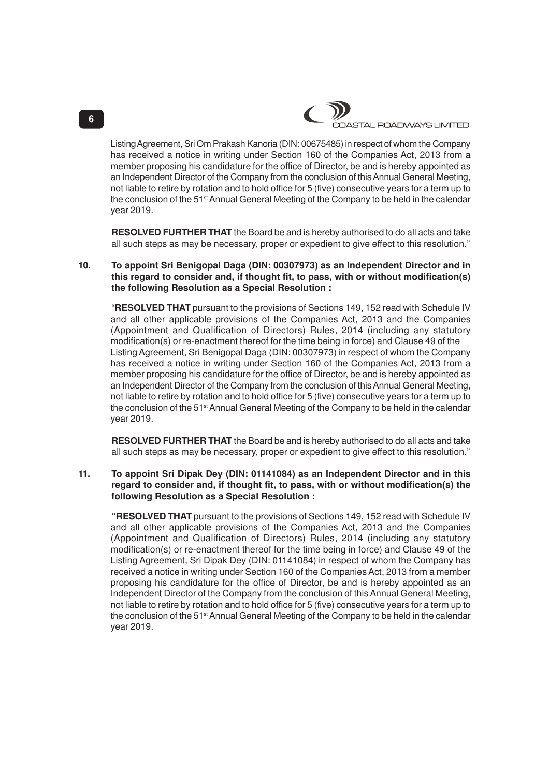Listing Agreement, Sri Om Prakash Kanoria (DIN: 00675485) in respect of whom the Company has received a notice in writing under Section 160 of the Companies Act, 2013 from a member proposing his candidature for the office of Director, be and is hereby appointed as an Independent Director of the Company from the conclusion of this Annual General Meeting, not liable to retire by rotation and to hold office for 5 (five) consecutive years for a term up to the conclusion of the 51<sup>st</sup> Annual General Meeting of the Company to be held in the calendar year 2019.

**RESOLVED FURTHER THAT** the Board be and is hereby authorised to do all acts and take all such steps as may be necessary, proper or expedient to give effect to this resolution."

### **10. To appoint Sri Benigopal Daga (DIN: 00307973) as an Independent Director and in this regard to consider and, if thought fit, to pass, with or without modification(s) the following Resolution as a Special Resolution :**

"**RESOLVED THAT** pursuant to the provisions of Sections 149, 152 read with Schedule IV and all other applicable provisions of the Companies Act, 2013 and the Companies (Appointment and Qualification of Directors) Rules, 2014 (including any statutory modification(s) or re-enactment thereof for the time being in force) and Clause 49 of the Listing Agreement, Sri Benigopal Daga (DIN: 00307973) in respect of whom the Company has received a notice in writing under Section 160 of the Companies Act, 2013 from a member proposing his candidature for the office of Director, be and is hereby appointed as an Independent Director of the Company from the conclusion of this Annual General Meeting, not liable to retire by rotation and to hold office for 5 (five) consecutive years for a term up to the conclusion of the 51<sup>st</sup> Annual General Meeting of the Company to be held in the calendar year 2019.

**RESOLVED FURTHER THAT** the Board be and is hereby authorised to do all acts and take all such steps as may be necessary, proper or expedient to give effect to this resolution."

## **11. To appoint Sri Dipak Dey (DIN: 01141084) as an Independent Director and in this regard to consider and, if thought fit, to pass, with or without modification(s) the following Resolution as a Special Resolution :**

**"RESOLVED THAT** pursuant to the provisions of Sections 149, 152 read with Schedule IV and all other applicable provisions of the Companies Act, 2013 and the Companies (Appointment and Qualification of Directors) Rules, 2014 (including any statutory modification(s) or re-enactment thereof for the time being in force) and Clause 49 of the Listing Agreement, Sri Dipak Dey (DIN: 01141084) in respect of whom the Company has received a notice in writing under Section 160 of the Companies Act, 2013 from a member proposing his candidature for the office of Director, be and is hereby appointed as an Independent Director of the Company from the conclusion of this Annual General Meeting, not liable to retire by rotation and to hold office for 5 (five) consecutive years for a term up to the conclusion of the 51<sup>st</sup> Annual General Meeting of the Company to be held in the calendar year 2019.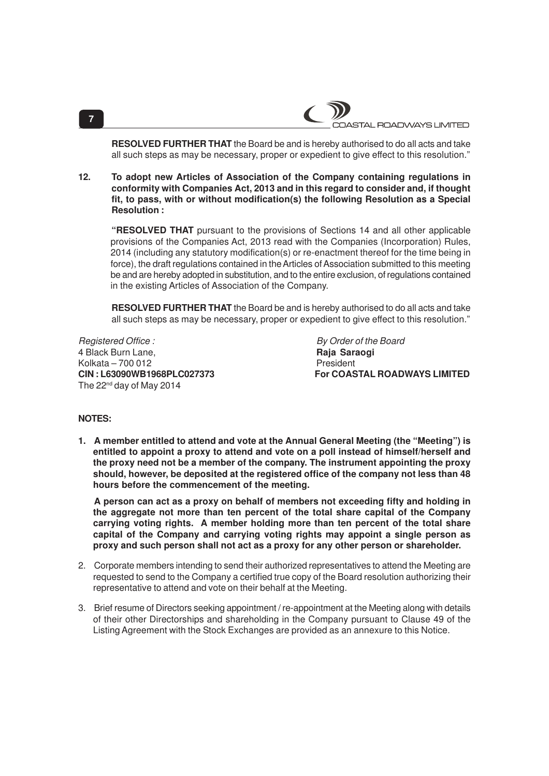**RESOLVED FURTHER THAT** the Board be and is hereby authorised to do all acts and take all such steps as may be necessary, proper or expedient to give effect to this resolution."

**12. To adopt new Articles of Association of the Company containing regulations in conformity with Companies Act, 2013 and in this regard to consider and, if thought fit, to pass, with or without modification(s) the following Resolution as a Special Resolution :**

**"RESOLVED THAT** pursuant to the provisions of Sections 14 and all other applicable provisions of the Companies Act, 2013 read with the Companies (Incorporation) Rules, 2014 (including any statutory modification(s) or re-enactment thereof for the time being in force), the draft regulations contained in the Articles of Association submitted to this meeting be and are hereby adopted in substitution, and to the entire exclusion, of regulations contained in the existing Articles of Association of the Company.

**RESOLVED FURTHER THAT** the Board be and is hereby authorised to do all acts and take all such steps as may be necessary, proper or expedient to give effect to this resolution."

Registered Office : By Order of the Board 4 Black Burn Lane, **Raja Saraogi** Kolkata – 700 012<br>**CIN : L63090WB1968PLC027373** Por COAS The 22<sup>nd</sup> day of May 2014

**For COASTAL ROADWAYS LIMITED** 

### **NOTES:**

**1. A member entitled to attend and vote at the Annual General Meeting (the "Meeting") is entitled to appoint a proxy to attend and vote on a poll instead of himself/herself and the proxy need not be a member of the company. The instrument appointing the proxy should, however, be deposited at the registered office of the company not less than 48 hours before the commencement of the meeting.**

**A person can act as a proxy on behalf of members not exceeding fifty and holding in the aggregate not more than ten percent of the total share capital of the Company carrying voting rights. A member holding more than ten percent of the total share capital of the Company and carrying voting rights may appoint a single person as proxy and such person shall not act as a proxy for any other person or shareholder.**

- 2. Corporate members intending to send their authorized representatives to attend the Meeting are requested to send to the Company a certified true copy of the Board resolution authorizing their representative to attend and vote on their behalf at the Meeting.
- 3. Brief resume of Directors seeking appointment / re-appointment at the Meeting along with details of their other Directorships and shareholding in the Company pursuant to Clause 49 of the Listing Agreement with the Stock Exchanges are provided as an annexure to this Notice.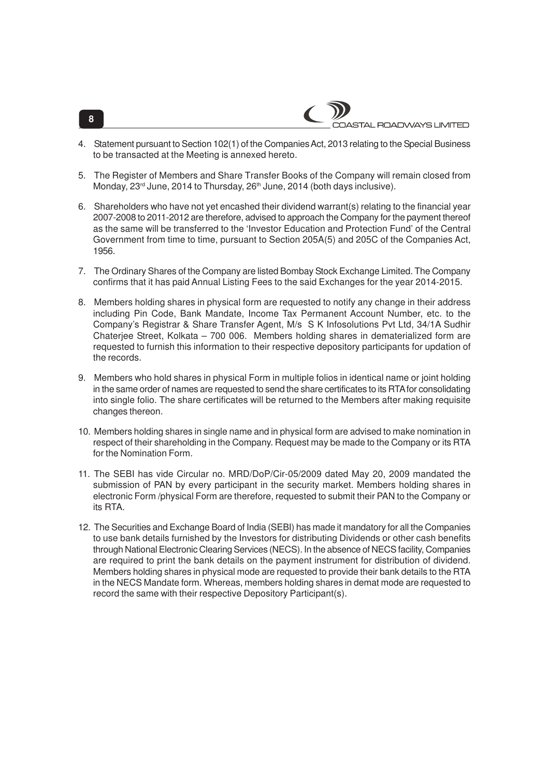- 4. Statement pursuant to Section 102(1) of the Companies Act, 2013 relating to the Special Business to be transacted at the Meeting is annexed hereto.
- 5. The Register of Members and Share Transfer Books of the Company will remain closed from Monday, 23<sup>rd</sup> June, 2014 to Thursday, 26<sup>th</sup> June, 2014 (both days inclusive).
- 6. Shareholders who have not yet encashed their dividend warrant(s) relating to the financial year 2007-2008 to 2011-2012 are therefore, advised to approach the Company for the payment thereof as the same will be transferred to the 'Investor Education and Protection Fund' of the Central Government from time to time, pursuant to Section 205A(5) and 205C of the Companies Act, 1956.
- 7. The Ordinary Shares of the Company are listed Bombay Stock Exchange Limited. The Company confirms that it has paid Annual Listing Fees to the said Exchanges for the year 2014-2015.
- 8. Members holding shares in physical form are requested to notify any change in their address including Pin Code, Bank Mandate, Income Tax Permanent Account Number, etc. to the Company's Registrar & Share Transfer Agent, M/s S K Infosolutions Pvt Ltd, 34/1A Sudhir Chaterjee Street, Kolkata – 700 006. Members holding shares in dematerialized form are requested to furnish this information to their respective depository participants for updation of the records.
- 9. Members who hold shares in physical Form in multiple folios in identical name or joint holding in the same order of names are requested to send the share certificates to its RTA for consolidating into single folio. The share certificates will be returned to the Members after making requisite changes thereon.
- 10. Members holding shares in single name and in physical form are advised to make nomination in respect of their shareholding in the Company. Request may be made to the Company or its RTA for the Nomination Form.
- 11. The SEBI has vide Circular no. MRD/DoP/Cir-05/2009 dated May 20, 2009 mandated the submission of PAN by every participant in the security market. Members holding shares in electronic Form /physical Form are therefore, requested to submit their PAN to the Company or its RTA.
- 12. The Securities and Exchange Board of India (SEBI) has made it mandatory for all the Companies to use bank details furnished by the Investors for distributing Dividends or other cash benefits through National Electronic Clearing Services (NECS). In the absence of NECS facility, Companies are required to print the bank details on the payment instrument for distribution of dividend. Members holding shares in physical mode are requested to provide their bank details to the RTA in the NECS Mandate form. Whereas, members holding shares in demat mode are requested to record the same with their respective Depository Participant(s).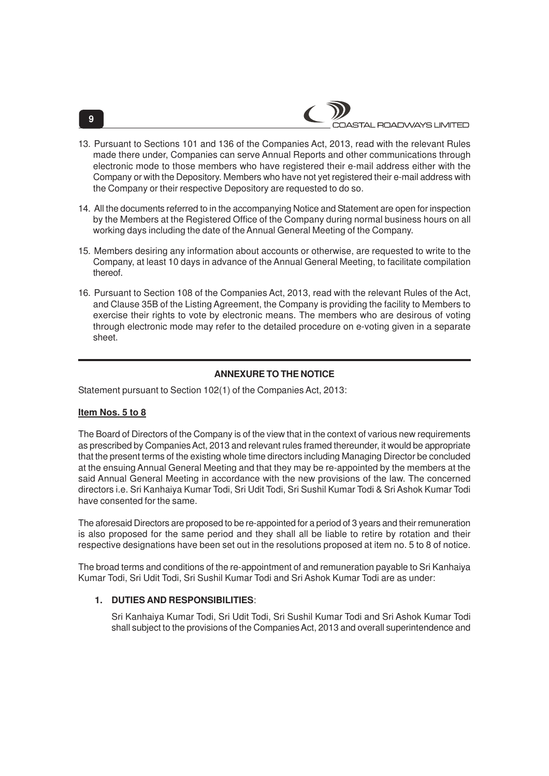- 13. Pursuant to Sections 101 and 136 of the Companies Act, 2013, read with the relevant Rules made there under, Companies can serve Annual Reports and other communications through electronic mode to those members who have registered their e-mail address either with the Company or with the Depository. Members who have not yet registered their e-mail address with the Company or their respective Depository are requested to do so.
- 14. All the documents referred to in the accompanying Notice and Statement are open for inspection by the Members at the Registered Office of the Company during normal business hours on all working days including the date of the Annual General Meeting of the Company.
- 15. Members desiring any information about accounts or otherwise, are requested to write to the Company, at least 10 days in advance of the Annual General Meeting, to facilitate compilation thereof.
- 16. Pursuant to Section 108 of the Companies Act, 2013, read with the relevant Rules of the Act, and Clause 35B of the Listing Agreement, the Company is providing the facility to Members to exercise their rights to vote by electronic means. The members who are desirous of voting through electronic mode may refer to the detailed procedure on e-voting given in a separate sheet.

# **ANNEXURE TO THE NOTICE**

Statement pursuant to Section 102(1) of the Companies Act, 2013:

# **Item Nos. 5 to 8**

The Board of Directors of the Company is of the view that in the context of various new requirements as prescribed by Companies Act, 2013 and relevant rules framed thereunder, it would be appropriate that the present terms of the existing whole time directors including Managing Director be concluded at the ensuing Annual General Meeting and that they may be re-appointed by the members at the said Annual General Meeting in accordance with the new provisions of the law. The concerned directors i.e. Sri Kanhaiya Kumar Todi, Sri Udit Todi, Sri Sushil Kumar Todi & Sri Ashok Kumar Todi have consented for the same.

The aforesaid Directors are proposed to be re-appointed for a period of 3 years and their remuneration is also proposed for the same period and they shall all be liable to retire by rotation and their respective designations have been set out in the resolutions proposed at item no. 5 to 8 of notice.

The broad terms and conditions of the re-appointment of and remuneration payable to Sri Kanhaiya Kumar Todi, Sri Udit Todi, Sri Sushil Kumar Todi and Sri Ashok Kumar Todi are as under:

# **1. DUTIES AND RESPONSIBILITIES**:

Sri Kanhaiya Kumar Todi, Sri Udit Todi, Sri Sushil Kumar Todi and Sri Ashok Kumar Todi shall subject to the provisions of the Companies Act, 2013 and overall superintendence and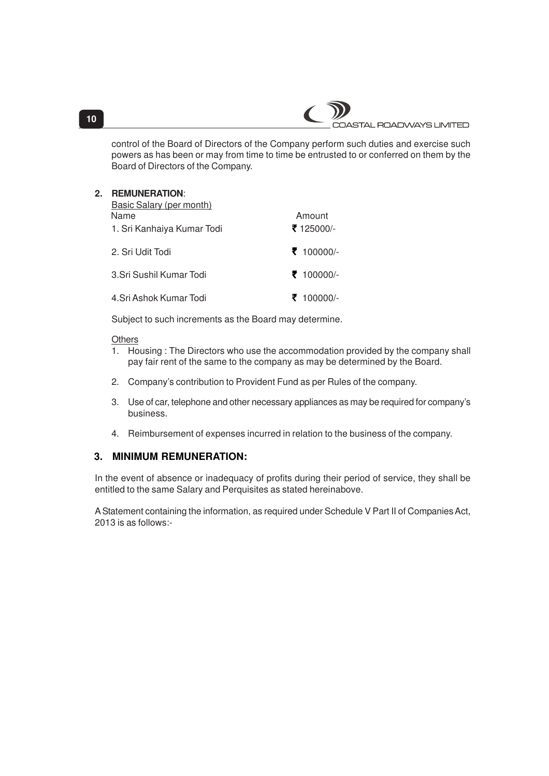

control of the Board of Directors of the Company perform such duties and exercise such powers as has been or may from time to time be entrusted to or conferred on them by the Board of Directors of the Company.

| 2. | <b>REMUNERATION:</b><br>Basic Salary (per month)<br>Name<br>1. Sri Kanhaiya Kumar Todi | Amount<br>₹ 125000/- |
|----|----------------------------------------------------------------------------------------|----------------------|
|    | 2. Sri Udit Todi                                                                       | ₹ 100000/-           |
|    | 3. Sri Sushil Kumar Todi                                                               | ₹ 100000/-           |
|    | 4. Sri Ashok Kumar Todi                                                                | 100000/-             |

Subject to such increments as the Board may determine.

# **Others**

- 1. Housing : The Directors who use the accommodation provided by the company shall pay fair rent of the same to the company as may be determined by the Board.
- 2. Company's contribution to Provident Fund as per Rules of the company.
- 3. Use of car, telephone and other necessary appliances as may be required for company's business.
- 4. Reimbursement of expenses incurred in relation to the business of the company.

# **3. MINIMUM REMUNERATION:**

In the event of absence or inadequacy of profits during their period of service, they shall be entitled to the same Salary and Perquisites as stated hereinabove.

A Statement containing the information, as required under Schedule V Part II of Companies Act, 2013 is as follows:-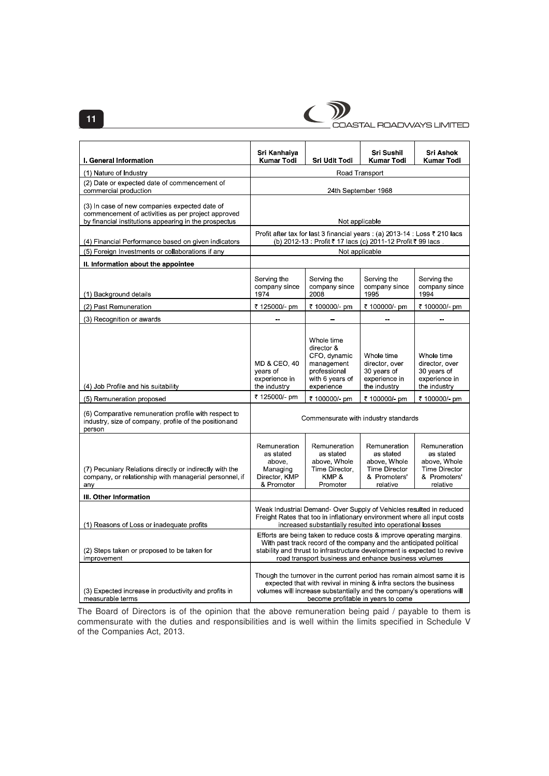

COASTAL ROADWAYS LIMITED

| <b>I. General Information</b>                                                                                                                                | Sri Kanhaiya<br>Kumar Todi                                                                                                                                                                                                                                                      | Sri Udit Todi                                                                                           | Sri Sushil<br><b>Kumar Todi</b>                                                               | Sri Ashok<br><b>Kumar Todi</b>                                                                |
|--------------------------------------------------------------------------------------------------------------------------------------------------------------|---------------------------------------------------------------------------------------------------------------------------------------------------------------------------------------------------------------------------------------------------------------------------------|---------------------------------------------------------------------------------------------------------|-----------------------------------------------------------------------------------------------|-----------------------------------------------------------------------------------------------|
| (1) Nature of Industry                                                                                                                                       | Road Transport                                                                                                                                                                                                                                                                  |                                                                                                         |                                                                                               |                                                                                               |
| (2) Date or expected date of commencement of<br>commercial production                                                                                        | 24th September 1968                                                                                                                                                                                                                                                             |                                                                                                         |                                                                                               |                                                                                               |
| (3) In case of new companies expected date of<br>commencement of activities as per project approved<br>by financial institutions appearing in the prospectus | Not applicable                                                                                                                                                                                                                                                                  |                                                                                                         |                                                                                               |                                                                                               |
| (4) Financial Performance based on given indicators                                                                                                          | Profit after tax for last 3 financial years : (a) 2013-14 : Loss ₹ 210 lacs<br>(b) 2012-13 : Profit ₹ 17 lacs (c) 2011-12 Profit ₹ 99 lacs.                                                                                                                                     |                                                                                                         |                                                                                               |                                                                                               |
| (5) Foreign Investments or collaborations if any                                                                                                             | Not applicable                                                                                                                                                                                                                                                                  |                                                                                                         |                                                                                               |                                                                                               |
| II. Information about the appointee                                                                                                                          |                                                                                                                                                                                                                                                                                 |                                                                                                         |                                                                                               |                                                                                               |
| (1) Background details                                                                                                                                       | Serving the<br>company since<br>1974                                                                                                                                                                                                                                            | Serving the<br>company since<br>2008                                                                    | Serving the<br>company since<br>1995                                                          | Serving the<br>company since<br>1994                                                          |
| (2) Past Remuneration                                                                                                                                        | ₹ 125000/- pm                                                                                                                                                                                                                                                                   | ₹ 100000/- pm                                                                                           | ₹ 100000/- pm                                                                                 | ₹ 100000/- pm                                                                                 |
| (3) Recognition or awards                                                                                                                                    |                                                                                                                                                                                                                                                                                 |                                                                                                         |                                                                                               |                                                                                               |
| (4) Job Profile and his suitability                                                                                                                          | MD & CEO, 40<br>years of<br>experience in<br>the industry                                                                                                                                                                                                                       | Whole time<br>director &<br>CFO, dynamic<br>management<br>professional<br>with 6 years of<br>experience | Whole time<br>director, over<br>30 years of<br>experience in<br>the industry                  | Whole time<br>director, over<br>30 years of<br>experience in<br>the industry                  |
| (5) Remuneration proposed                                                                                                                                    | ₹ 125000/- pm                                                                                                                                                                                                                                                                   | ₹ 100000/- pm                                                                                           | ₹ 100000/- pm                                                                                 | ₹ 100000/- pm                                                                                 |
| (6) Comparative remuneration profile with respect to<br>industry, size of company, profile of the position and<br>person                                     | Commensurate with industry standards                                                                                                                                                                                                                                            |                                                                                                         |                                                                                               |                                                                                               |
| (7) Pecuniary Relations directly or indirectly with the<br>company, or relationship with managerial personnel, if<br>any                                     | Remuneration<br>as stated<br>above,<br>Managing<br>Director, KMP<br>& Promoter                                                                                                                                                                                                  | Remuneration<br>as stated<br>above, Whole<br>Time Director.<br>KMP&<br>Promoter                         | Remuneration<br>as stated<br>above, Whole<br><b>Time Director</b><br>& Promoters'<br>relative | Remuneration<br>as stated<br>above, Whole<br><b>Time Director</b><br>& Promoters'<br>relative |
| III. Other Information                                                                                                                                       |                                                                                                                                                                                                                                                                                 |                                                                                                         |                                                                                               |                                                                                               |
| (1) Reasons of Loss or inadequate profits                                                                                                                    | Weak Industrial Demand-Over Supply of Vehicles resulted in reduced<br>Freight Rates that too in inflationary environment where all input costs<br>increased substantially resulted into operational losses                                                                      |                                                                                                         |                                                                                               |                                                                                               |
| (2) Steps taken or proposed to be taken for<br>improvement                                                                                                   | Efforts are being taken to reduce costs & improve operating margins.<br>With past track record of the company and the anticipated political<br>stability and thrust to infrastructure development is expected to revive<br>road transport business and enhance business volumes |                                                                                                         |                                                                                               |                                                                                               |
| (3) Expected increase in productivity and profits in<br>measurable terms                                                                                     | Though the turnover in the current period has remain almost same it is<br>expected that with revival in mining & infra sectors the business<br>volumes will increase substantially and the company's operations will<br>become profitable in years to come                      |                                                                                                         |                                                                                               |                                                                                               |

The Board of Directors is of the opinion that the above remuneration being paid / payable to them is commensurate with the duties and responsibilities and is well within the limits specified in Schedule V of the Companies Act, 2013.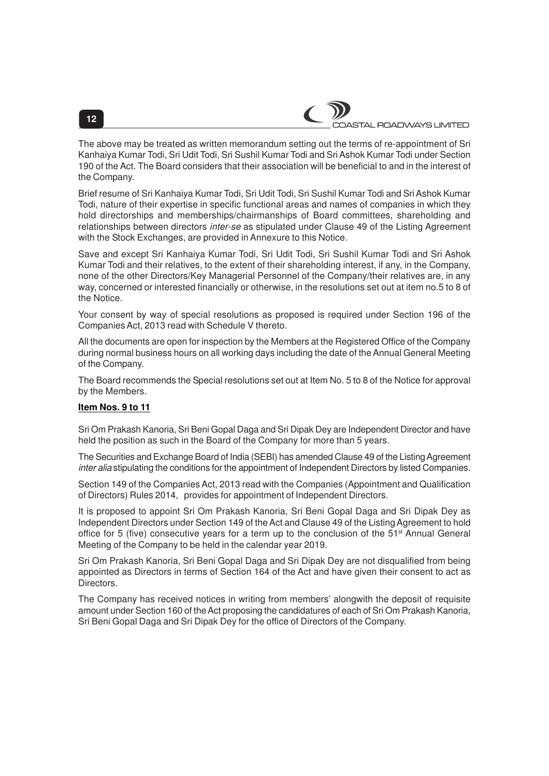

The above may be treated as written memorandum setting out the terms of re-appointment of Sri Kanhaiya Kumar Todi, Sri Udit Todi, Sri Sushil Kumar Todi and Sri Ashok Kumar Todi under Section 190 of the Act. The Board considers that their association will be beneficial to and in the interest of the Company.

Brief resume of Sri Kanhaiya Kumar Todi, Sri Udit Todi, Sri Sushil Kumar Todi and Sri Ashok Kumar Todi, nature of their expertise in specific functional areas and names of companies in which they hold directorships and memberships/chairmanships of Board committees, shareholding and relationships between directors inter-se as stipulated under Clause 49 of the Listing Agreement with the Stock Exchanges, are provided in Annexure to this Notice.

Save and except Sri Kanhaiya Kumar Todi, Sri Udit Todi, Sri Sushil Kumar Todi and Sri Ashok Kumar Todi and their relatives, to the extent of their shareholding interest, if any, in the Company, none of the other Directors/Key Managerial Personnel of the Company/their relatives are, in any way, concerned or interested financially or otherwise, in the resolutions set out at item no.5 to 8 of the Notice.

Your consent by way of special resolutions as proposed is required under Section 196 of the Companies Act, 2013 read with Schedule V thereto.

All the documents are open for inspection by the Members at the Registered Office of the Company during normal business hours on all working days including the date of the Annual General Meeting of the Company.

The Board recommends the Special resolutions set out at Item No. 5 to 8 of the Notice for approval by the Members.

### **Item Nos. 9 to 11**

Sri Om Prakash Kanoria, Sri Beni Gopal Daga and Sri Dipak Dey are Independent Director and have held the position as such in the Board of the Company for more than 5 years.

The Securities and Exchange Board of India (SEBI) has amended Clause 49 of the Listing Agreement inter alia stipulating the conditions for the appointment of Independent Directors by listed Companies.

Section 149 of the Companies Act, 2013 read with the Companies (Appointment and Qualification of Directors) Rules 2014, provides for appointment of Independent Directors.

It is proposed to appoint Sri Om Prakash Kanoria, Sri Beni Gopal Daga and Sri Dipak Dey as Independent Directors under Section 149 of the Act and Clause 49 of the Listing Agreement to hold office for 5 (five) consecutive years for a term up to the conclusion of the 51<sup>st</sup> Annual General Meeting of the Company to be held in the calendar year 2019.

Sri Om Prakash Kanoria, Sri Beni Gopal Daga and Sri Dipak Dey are not disqualified from being appointed as Directors in terms of Section 164 of the Act and have given their consent to act as Directors.

The Company has received notices in writing from members' alongwith the deposit of requisite amount under Section 160 of the Act proposing the candidatures of each of Sri Om Prakash Kanoria, Sri Beni Gopal Daga and Sri Dipak Dey for the office of Directors of the Company.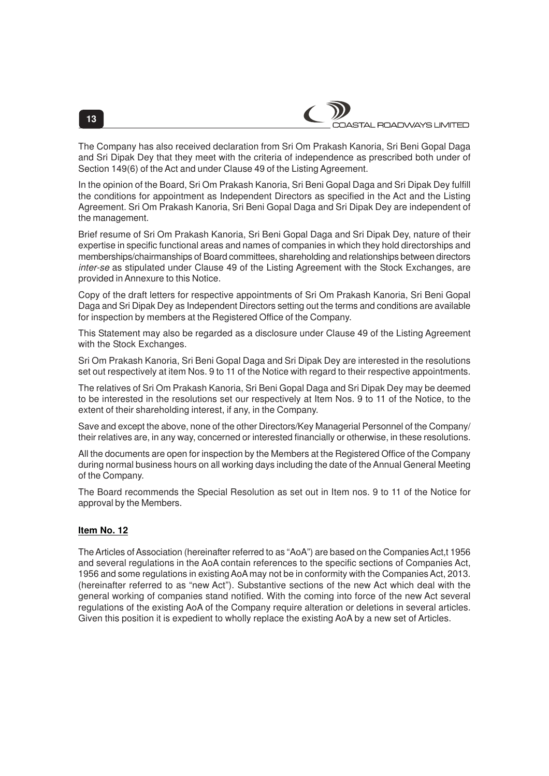

The Company has also received declaration from Sri Om Prakash Kanoria, Sri Beni Gopal Daga and Sri Dipak Dey that they meet with the criteria of independence as prescribed both under of Section 149(6) of the Act and under Clause 49 of the Listing Agreement.

In the opinion of the Board, Sri Om Prakash Kanoria, Sri Beni Gopal Daga and Sri Dipak Dey fulfill the conditions for appointment as Independent Directors as specified in the Act and the Listing Agreement. Sri Om Prakash Kanoria, Sri Beni Gopal Daga and Sri Dipak Dey are independent of the management.

Brief resume of Sri Om Prakash Kanoria, Sri Beni Gopal Daga and Sri Dipak Dey, nature of their expertise in specific functional areas and names of companies in which they hold directorships and memberships/chairmanships of Board committees, shareholding and relationships between directors inter-se as stipulated under Clause 49 of the Listing Agreement with the Stock Exchanges, are provided in Annexure to this Notice.

Copy of the draft letters for respective appointments of Sri Om Prakash Kanoria, Sri Beni Gopal Daga and Sri Dipak Dey as Independent Directors setting out the terms and conditions are available for inspection by members at the Registered Office of the Company.

This Statement may also be regarded as a disclosure under Clause 49 of the Listing Agreement with the Stock Exchanges.

Sri Om Prakash Kanoria, Sri Beni Gopal Daga and Sri Dipak Dey are interested in the resolutions set out respectively at item Nos. 9 to 11 of the Notice with regard to their respective appointments.

The relatives of Sri Om Prakash Kanoria, Sri Beni Gopal Daga and Sri Dipak Dey may be deemed to be interested in the resolutions set our respectively at Item Nos. 9 to 11 of the Notice, to the extent of their shareholding interest, if any, in the Company.

Save and except the above, none of the other Directors/Key Managerial Personnel of the Company/ their relatives are, in any way, concerned or interested financially or otherwise, in these resolutions.

All the documents are open for inspection by the Members at the Registered Office of the Company during normal business hours on all working days including the date of the Annual General Meeting of the Company.

The Board recommends the Special Resolution as set out in Item nos. 9 to 11 of the Notice for approval by the Members.

#### **Item No. 12**

The Articles of Association (hereinafter referred to as "AoA") are based on the Companies Act,t 1956 and several regulations in the AoA contain references to the specific sections of Companies Act, 1956 and some regulations in existing AoA may not be in conformity with the Companies Act, 2013. (hereinafter referred to as "new Act"). Substantive sections of the new Act which deal with the general working of companies stand notified. With the coming into force of the new Act several regulations of the existing AoA of the Company require alteration or deletions in several articles. Given this position it is expedient to wholly replace the existing AoA by a new set of Articles.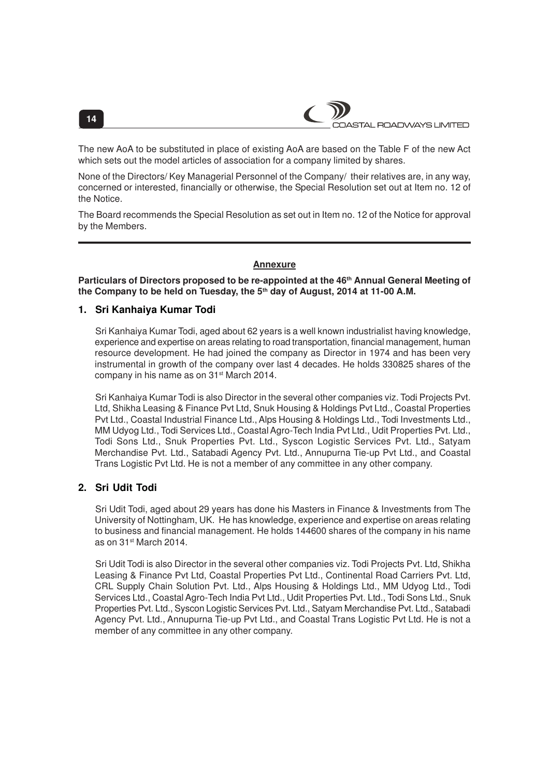The new AoA to be substituted in place of existing AoA are based on the Table F of the new Act which sets out the model articles of association for a company limited by shares.

None of the Directors/ Key Managerial Personnel of the Company/ their relatives are, in any way, concerned or interested, financially or otherwise, the Special Resolution set out at Item no. 12 of the Notice.

The Board recommends the Special Resolution as set out in Item no. 12 of the Notice for approval by the Members.

# **Annexure**

**Particulars of Directors proposed to be re-appointed at the 46th Annual General Meeting of the Company to be held on Tuesday, the 5th day of August, 2014 at 11-00 A.M.**

# **1. Sri Kanhaiya Kumar Todi**

Sri Kanhaiya Kumar Todi, aged about 62 years is a well known industrialist having knowledge, experience and expertise on areas relating to road transportation, financial management, human resource development. He had joined the company as Director in 1974 and has been very instrumental in growth of the company over last 4 decades. He holds 330825 shares of the company in his name as on 31<sup>st</sup> March 2014.

Sri Kanhaiya Kumar Todi is also Director in the several other companies viz. Todi Projects Pvt. Ltd, Shikha Leasing & Finance Pvt Ltd, Snuk Housing & Holdings Pvt Ltd., Coastal Properties Pvt Ltd., Coastal Industrial Finance Ltd., Alps Housing & Holdings Ltd., Todi Investments Ltd., MM Udyog Ltd., Todi Services Ltd., Coastal Agro-Tech India Pvt Ltd., Udit Properties Pvt. Ltd., Todi Sons Ltd., Snuk Properties Pvt. Ltd., Syscon Logistic Services Pvt. Ltd., Satyam Merchandise Pvt. Ltd., Satabadi Agency Pvt. Ltd., Annupurna Tie-up Pvt Ltd., and Coastal Trans Logistic Pvt Ltd. He is not a member of any committee in any other company.

# **2. Sri Udit Todi**

Sri Udit Todi, aged about 29 years has done his Masters in Finance & Investments from The University of Nottingham, UK. He has knowledge, experience and expertise on areas relating to business and financial management. He holds 144600 shares of the company in his name as on 31st March 2014.

Sri Udit Todi is also Director in the several other companies viz. Todi Projects Pvt. Ltd, Shikha Leasing & Finance Pvt Ltd, Coastal Properties Pvt Ltd., Continental Road Carriers Pvt. Ltd, CRL Supply Chain Solution Pvt. Ltd., Alps Housing & Holdings Ltd., MM Udyog Ltd., Todi Services Ltd., Coastal Agro-Tech India Pvt Ltd., Udit Properties Pvt. Ltd., Todi Sons Ltd., Snuk Properties Pvt. Ltd., Syscon Logistic Services Pvt. Ltd., Satyam Merchandise Pvt. Ltd., Satabadi Agency Pvt. Ltd., Annupurna Tie-up Pvt Ltd., and Coastal Trans Logistic Pvt Ltd. He is not a member of any committee in any other company.